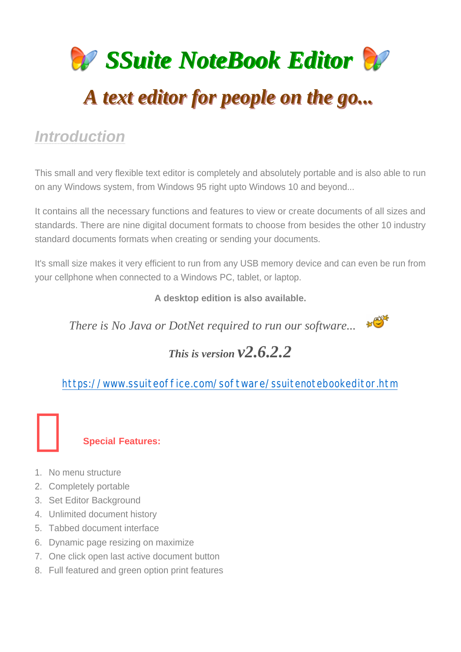

# *Introduction*

This small and very flexible text editor is completely and absolutely portable and is also able to run on any Windows system, from Windows 95 right upto Windows 10 and beyond...

It contains all the necessary functions and features to view or create documents of all sizes and standards. There are nine digital document formats to choose from besides the other 10 industry standard documents formats when creating or sending your documents.

It's small size makes it very efficient to run from any USB memory device and can even be run from your cellphone when connected to a Windows PC, tablet, or laptop.

**A desktop edition is also available.**

*There is No Java or DotNet required to run our software...*  $\mathscr{F}$ 



## *This is version v2.6.2.2*

https://www.ssuiteoffice.com/software/ssuitenotebookeditor.htm

### **Special Features:**

- 1. No menu structure
- 2. Completely portable
- 3. Set Editor Background
- 4. Unlimited document history
- 5. Tabbed document interface
- 6. Dynamic page resizing on maximize
- 7. One click open last active document button
- 8. Full featured and green option print features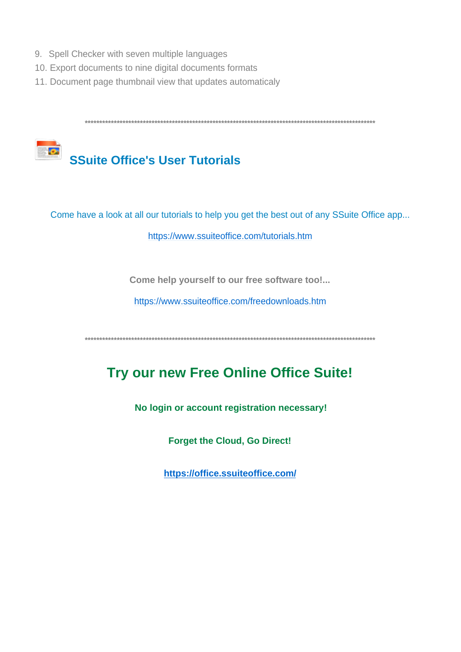- 9. Spell Checker with seven multiple languages
- 10. Export documents to nine digital documents formats
- 11. Document page thumbnail view that updates automaticaly



Come have a look at all our tutorials to help you get the best out of any SSuite Office app...

https://www.ssuiteoffice.com/tutorials.htm

Come help yourself to our free software too!...

https://www.ssuiteoffice.com/freedownloads.htm

## Try our new Free Online Office Suite!

No login or account registration necessary!

**Forget the Cloud, Go Direct!** 

https://office.ssuiteoffice.com/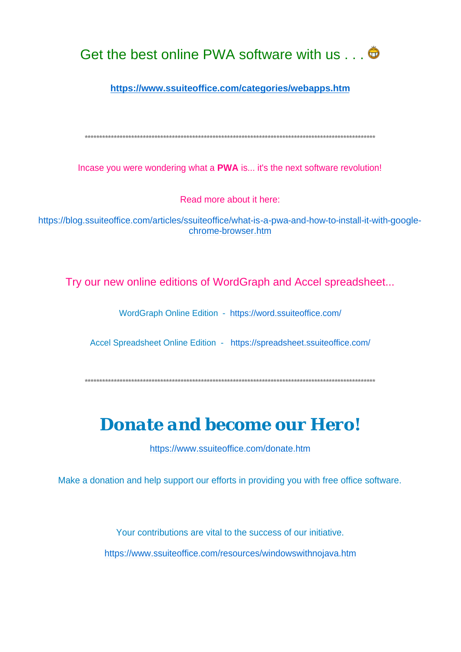

https://www.ssuiteoffice.com/categories/webapps.htm

Incase you were wondering what a PWA is... it's the next software revolution!

Read more about it here:

https://blog.ssuiteoffice.com/articles/ssuiteoffice/what-is-a-pwa-and-how-to-install-it-with-googlechrome-browser.htm

Try our new online editions of WordGraph and Accel spreadsheet...

WordGraph Online Edition - https://word.ssuiteoffice.com/

Accel Spreadsheet Online Edition - https://spreadsheet.ssuiteoffice.com/

## Donate and become our Hero!

https://www.ssuiteoffice.com/donate.htm

Make a donation and help support our efforts in providing you with free office software.

Your contributions are vital to the success of our initiative. https://www.ssuiteoffice.com/resources/windowswithnojava.htm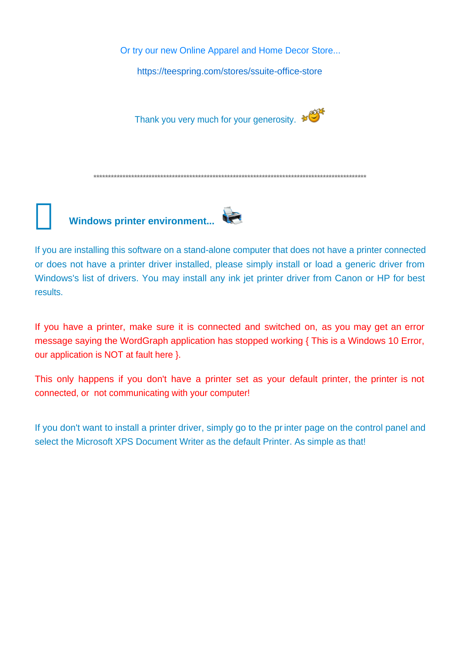Or try our new Online Apparel and Home Decor Store...

https://teespring.com/stores/ssuite-office-store

Thank you very much for your generosity.

**\*\*\*\*\*\*\*\*\*\*\*\*\*\*\*\*\*\*\*\*\*\*\*\*\*\*\*\*\*\*\*\*\*\*\*\*\*\*\*\*\*\*\*\*\*\*\*\*\*\*\*\*\*\*\*\*\*\*\*\*\*\*\*\*\*\*\*\*\*\*\*\*\*\*\*\*\*\*\*\*\*\*\*\*\*\*\*\*\*\*\*\*\*\***

**Windows printer environment...** 

If you are installing this software on a stand-alone computer that does not have a printer connected or does not have a printer driver installed, please simply install or load a generic driver from Windows's list of drivers. You may install any ink jet printer driver from Canon or HP for best results.

If you have a printer, make sure it is connected and switched on, as you may get an error message saying the WordGraph application has stopped working { This is a Windows 10 Error, our application is NOT at fault here }.

This only happens if you don't have a printer set as your default printer, the printer is not connected, or not communicating with your computer!

If you don't want to install a printer driver, simply go to the printer page on the control panel and select the Microsoft XPS Document Writer as the default Printer. As simple as that!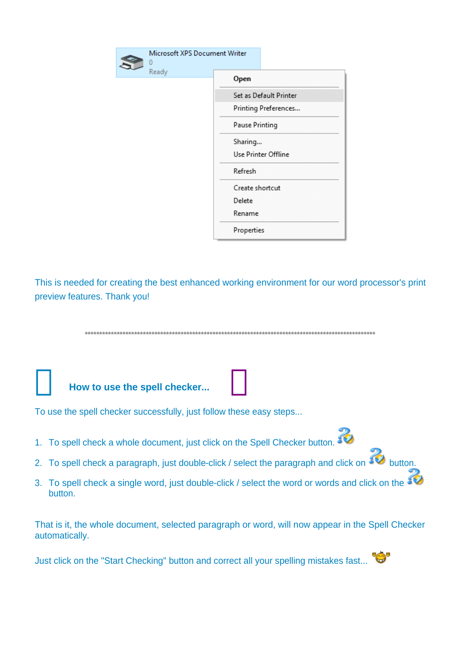| Microsoft XPS Document Writer |                        |  |
|-------------------------------|------------------------|--|
| Ready                         | Open                   |  |
|                               | Set as Default Printer |  |
|                               | Printing Preferences   |  |
|                               | <b>Pause Printing</b>  |  |
|                               | Sharing                |  |
|                               | Use Printer Offline    |  |
|                               | Refresh                |  |
|                               | Create shortcut        |  |
|                               | Delete                 |  |
|                               | Rename                 |  |
|                               | Properties             |  |

This is needed for creating the best enhanced working environment for our word processor's print preview features. Thank you!

**\*\*\*\*\*\*\*\*\*\*\*\*\*\*\*\*\*\*\*\*\*\*\*\*\*\*\*\*\*\*\*\*\*\*\*\*\*\*\*\*\*\*\*\*\*\*\*\*\*\*\*\*\*\*\*\*\*\*\*\*\*\*\*\*\*\*\*\*\*\*\*\*\*\*\*\*\*\*\*\*\*\*\*\*\*\*\*\*\*\*\*\*\*\*\*\*\*\*\*\***

### **How to use the spell checker...**

To use the spell checker successfully, just follow these easy steps...

- 1. To spell check a whole document, just click on the Spell Checker button.
- 2. To spell check a paragraph, just double-click / select the paragraph and click on  $\mathbf{C}$  button.
- 3. To spell check a single word, just double-click / select the word or words and click on the button.

That is it, the whole document, selected paragraph or word, will now appear in the Spell Checker automatically.

Just click on the "Start Checking" button and correct all your spelling mistakes fast...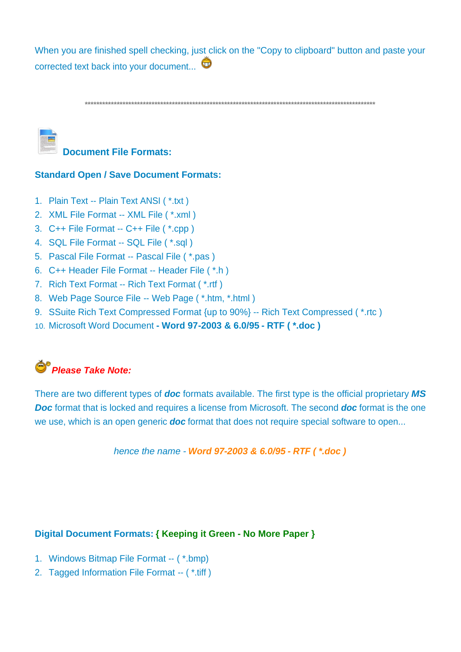When you are finished spell checking, just click on the "Copy to clipboard" button and paste your corrected text back into your document...

**\*\*\*\*\*\*\*\*\*\*\*\*\*\*\*\*\*\*\*\*\*\*\*\*\*\*\*\*\*\*\*\*\*\*\*\*\*\*\*\*\*\*\*\*\*\*\*\*\*\*\*\*\*\*\*\*\*\*\*\*\*\*\*\*\*\*\*\*\*\*\*\*\*\*\*\*\*\*\*\*\*\*\*\*\*\*\*\*\*\*\*\*\*\*\*\*\*\*\*\***



# **Document File Formats:**

### **Standard Open / Save Document Formats:**

- 1. Plain Text -- Plain Text ANSI ( \*.txt )
- 2. XML File Format -- XML File ( \*.xml )
- 3. C++ File Format -- C++ File ( \*.cpp )
- 4. SQL File Format -- SQL File ( \*.sql )
- 5. Pascal File Format -- Pascal File ( \*.pas )
- 6. C++ Header File Format -- Header File ( \*.h )
- 7. Rich Text Format -- Rich Text Format ( \*.rtf )
- 8. Web Page Source File -- Web Page ( \*.htm, \*.html )
- 9. SSuite Rich Text Compressed Format {up to 90%} -- Rich Text Compressed ( \*.rtc )
- 10. Microsoft Word Document  **Word 97-2003 & 6.0/95 RTF ( \*.doc )**



There are two different types of *doc* formats available. The first type is the official proprietary *MS Doc* format that is locked and requires a license from Microsoft. The second *doc* format is the one we use, which is an open generic *doc* format that does not require special software to open...

*hence the name - Word 97-2003 & 6.0/95 - RTF ( \*.doc )* 

#### **Digital Document Formats: { Keeping it Green - No More Paper }**

- 1. Windows Bitmap File Format -- ( \*.bmp)
- 2. Tagged Information File Format -- ( \*.tiff )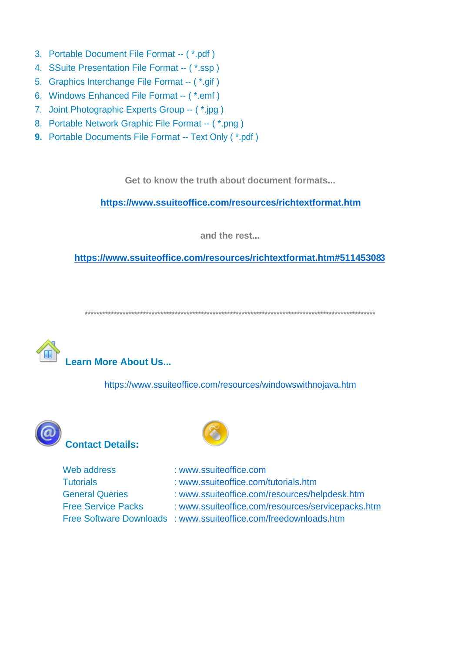- 3. Portable Document File Format -- (\*.pdf)
- 4. SSuite Presentation File Format -- (\*.ssp)
- 5. Graphics Interchange File Format -- (\*.gif)
- 6. Windows Enhanced File Format -- (\*.emf)
- 7. Joint Photographic Experts Group -- (\*.jpg)
- 8. Portable Network Graphic File Format -- (\*.png)
- 9. Portable Documents File Format -- Text Only (\*.pdf)

Get to know the truth about document formats...

https://www.ssuiteoffice.com/resources/richtextformat.htm

and the rest...

https://www.ssuiteoffice.com/resources/richtextformat.htm#511453083

**Learn More About Us...** 

https://www.ssuiteoffice.com/resources/windowswithnojava.htm





| Web address               | : www.ssuiteoffice.com                                           |
|---------------------------|------------------------------------------------------------------|
| <b>Tutorials</b>          | : www.ssuiteoffice.com/tutorials.htm                             |
| <b>General Queries</b>    | : www.ssuiteoffice.com/resources/helpdesk.htm                    |
| <b>Free Service Packs</b> | : www.ssuiteoffice.com/resources/servicepacks.htm                |
|                           | Free Software Downloads : www.ssuiteoffice.com/freedownloads.htm |
|                           |                                                                  |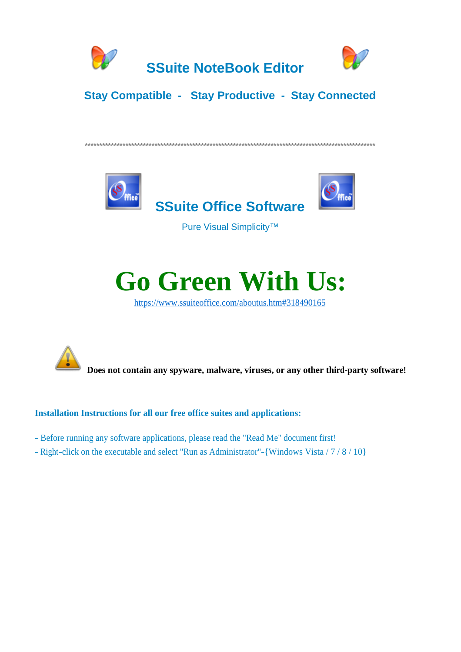



### **Stay Compatible - Stay Productive - Stay Connected**





Pure Visual Simplicity™



https://www.ssuiteoffice.com/aboutus.htm#318490165



Does not contain any spyware, malware, viruses, or any other third-party software!

### **Installation Instructions for all our free office suites and applications:**

- Before running any software applications, please read the "Read Me" document first!
- Right-click on the executable and select "Run as Administrator"-{Windows Vista / 7 / 8 / 10}